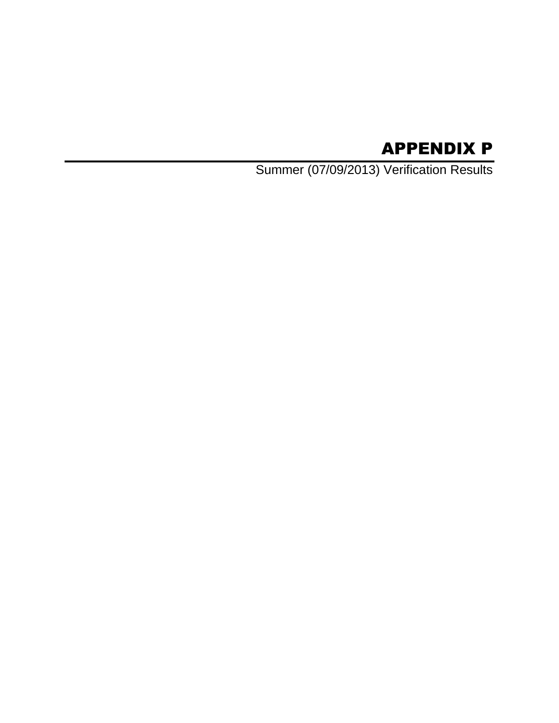# APPENDIX P

Summer (07/09/2013) Verification Results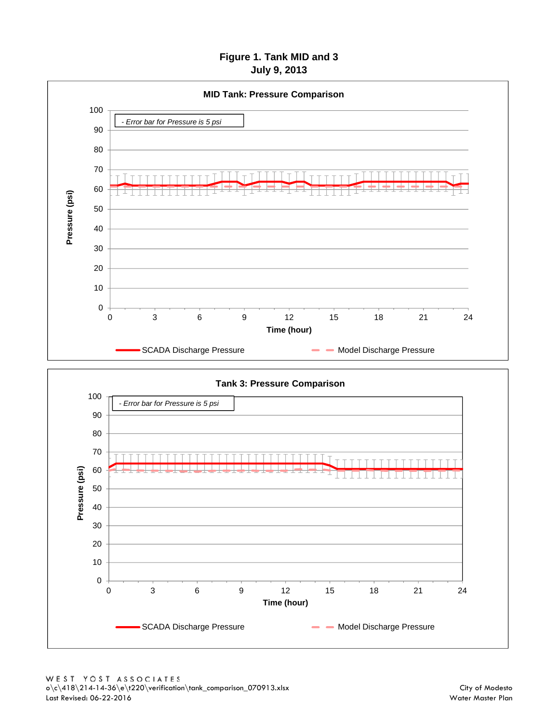# **Figure 1. Tank MID and 3 July 9, 2013**



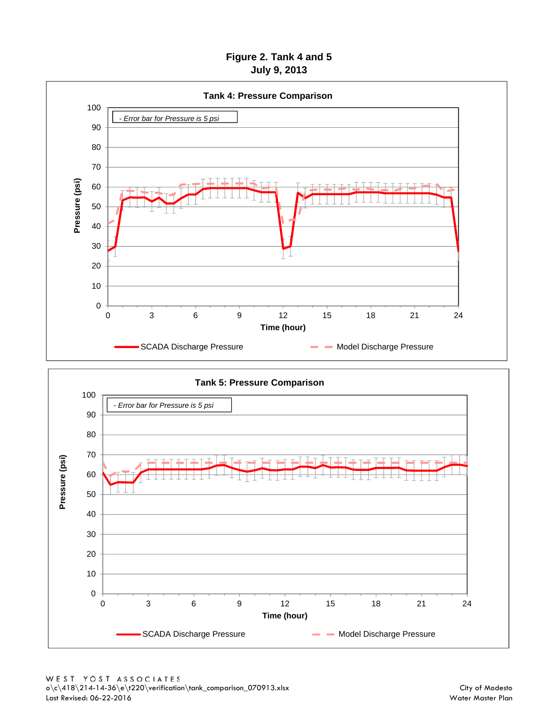# **Figure 2. Tank 4 and 5 July 9, 2013**



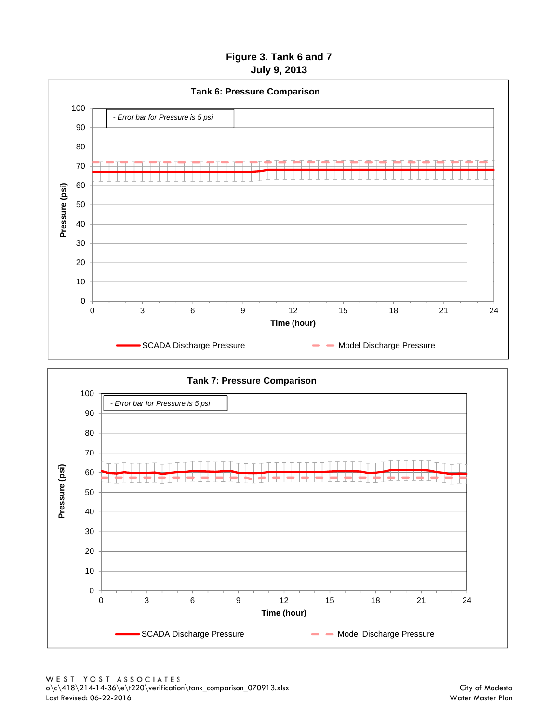# **Figure 3. Tank 6 and 7 July 9, 2013**



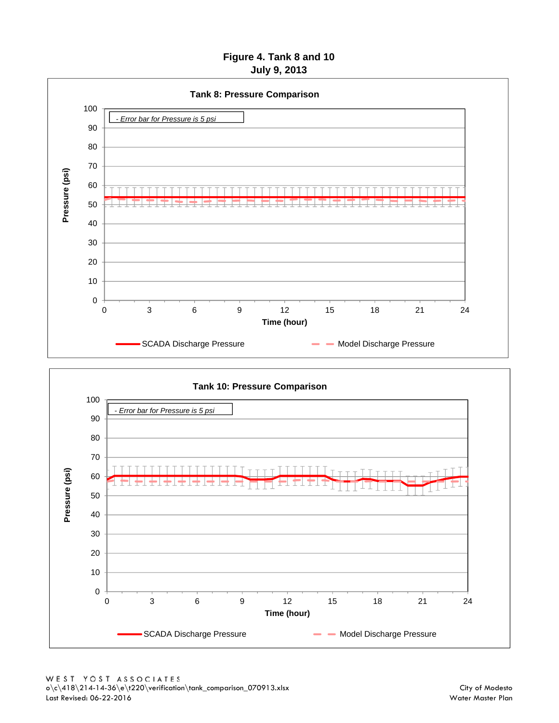# **Figure 4. Tank 8 and 10 July 9, 2013**



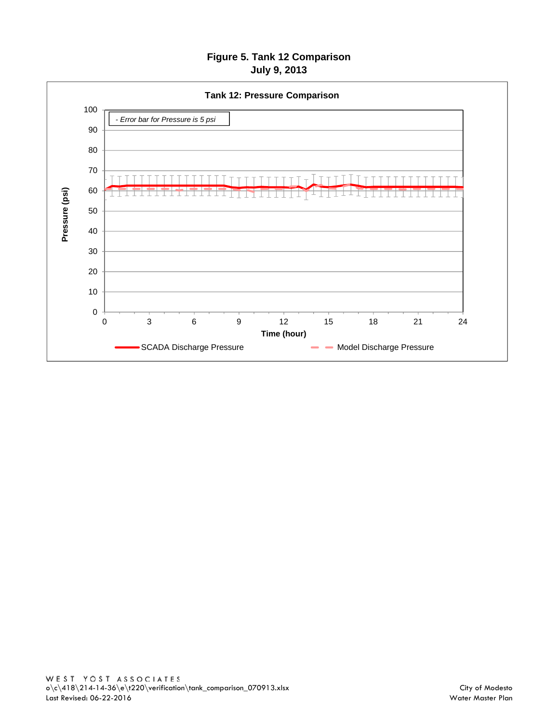# **Figure 5. Tank 12 Comparison July 9, 2013**

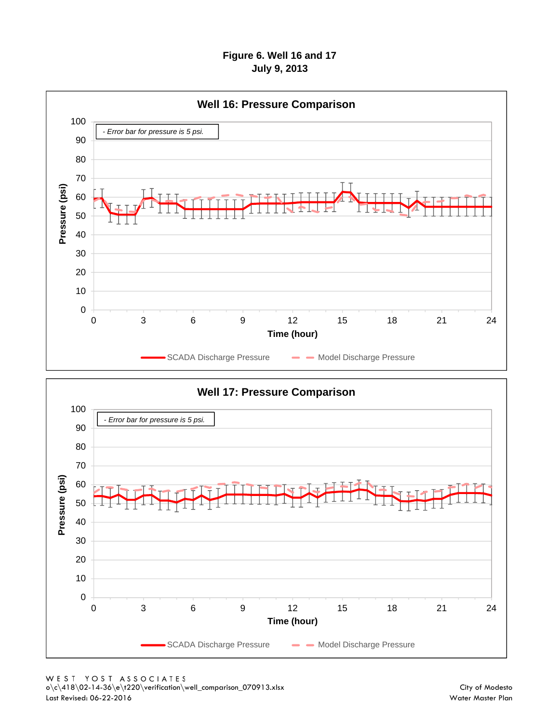# **Figure 6. Well 16 and 17 July 9, 2013**



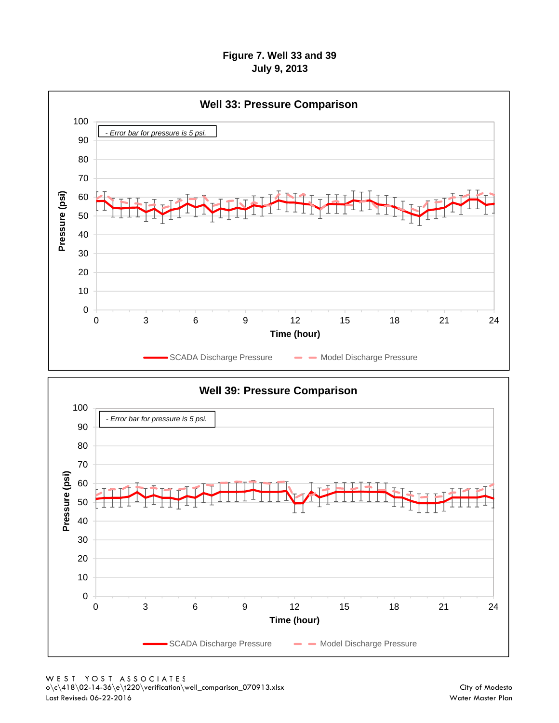### **Figure 7. Well 33 and 39 July 9, 2013**



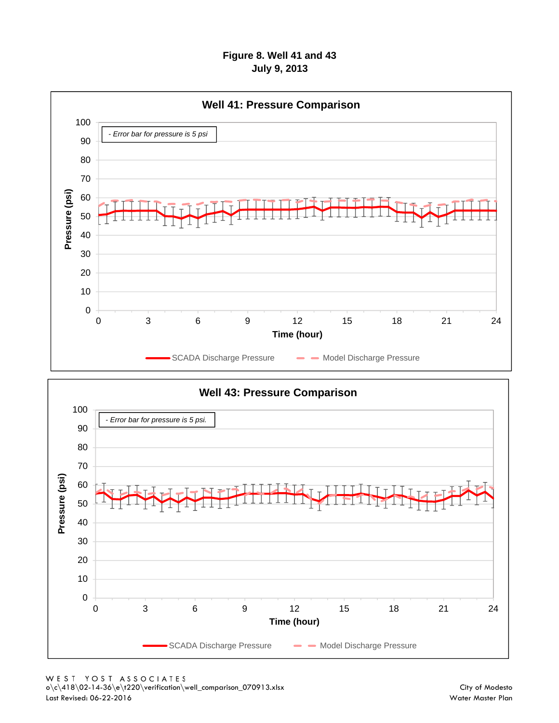# **Figure 8. Well 41 and 43 July 9, 2013**



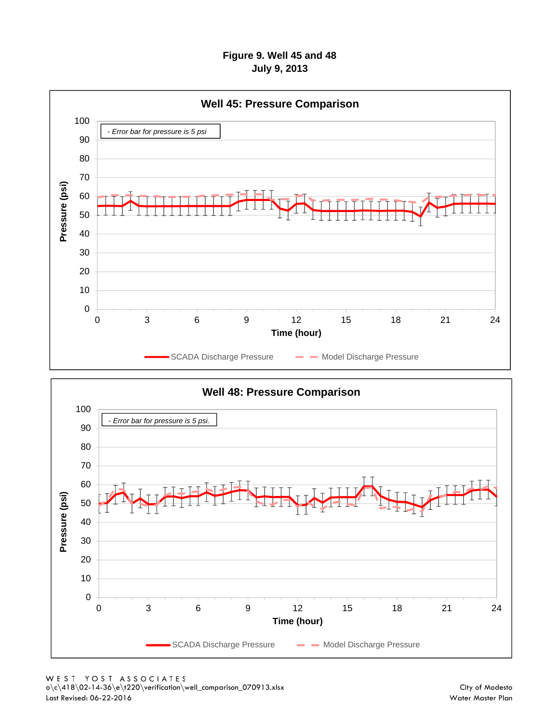# **Figure 9. Well 45 and 48 July 9, 2013**



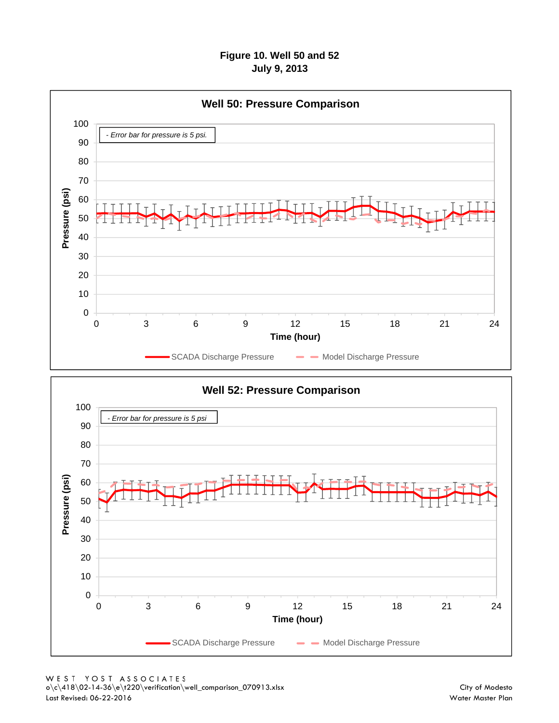### **Figure 10. Well 50 and 52 July 9, 2013**



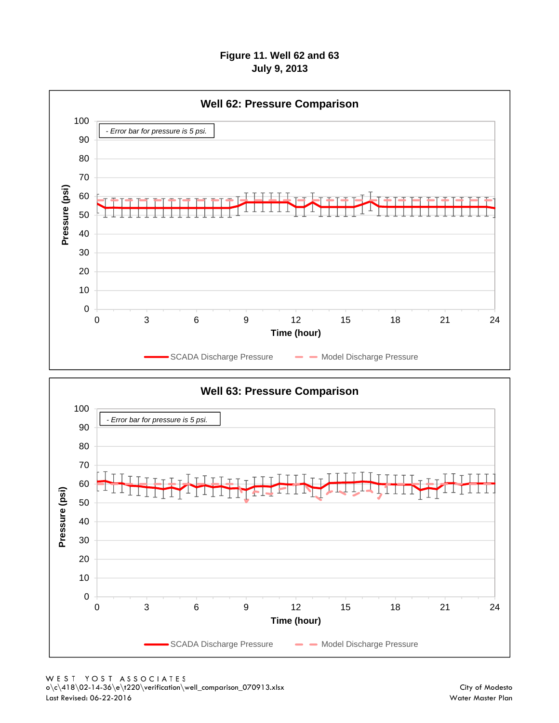### **Figure 11. Well 62 and 63 July 9, 2013**



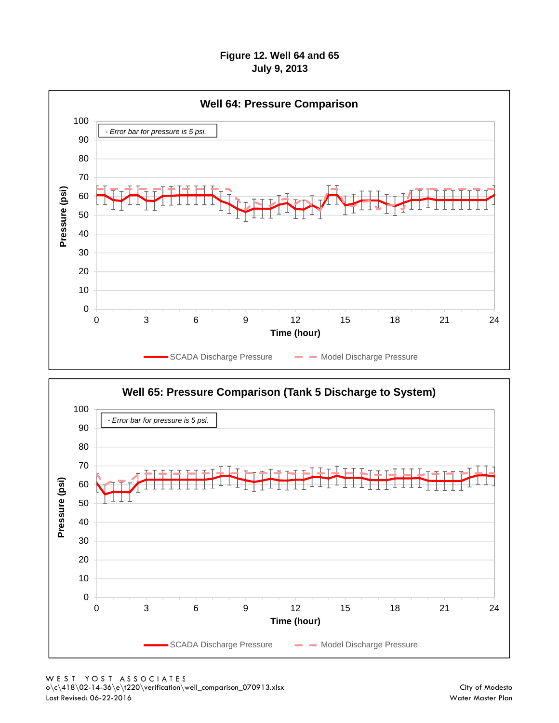#### **Figure 12. Well 64 and 65 July 9, 2013**



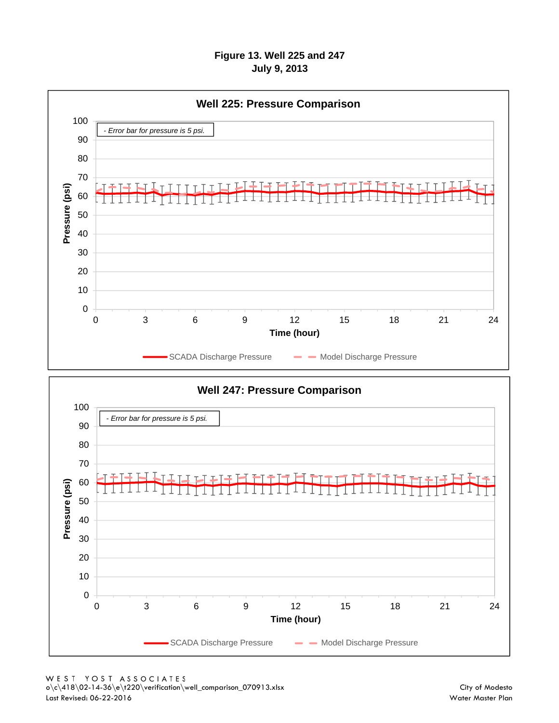#### **Figure 13. Well 225 and 247 July 9, 2013**



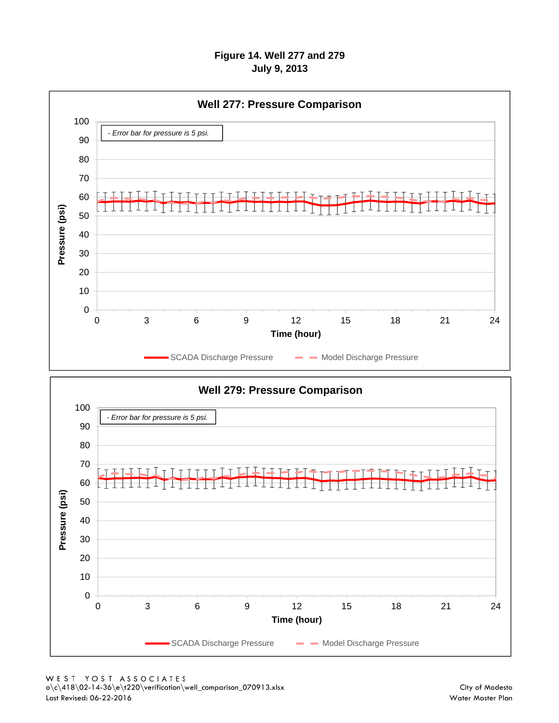#### **Figure 14. Well 277 and 279 July 9, 2013**